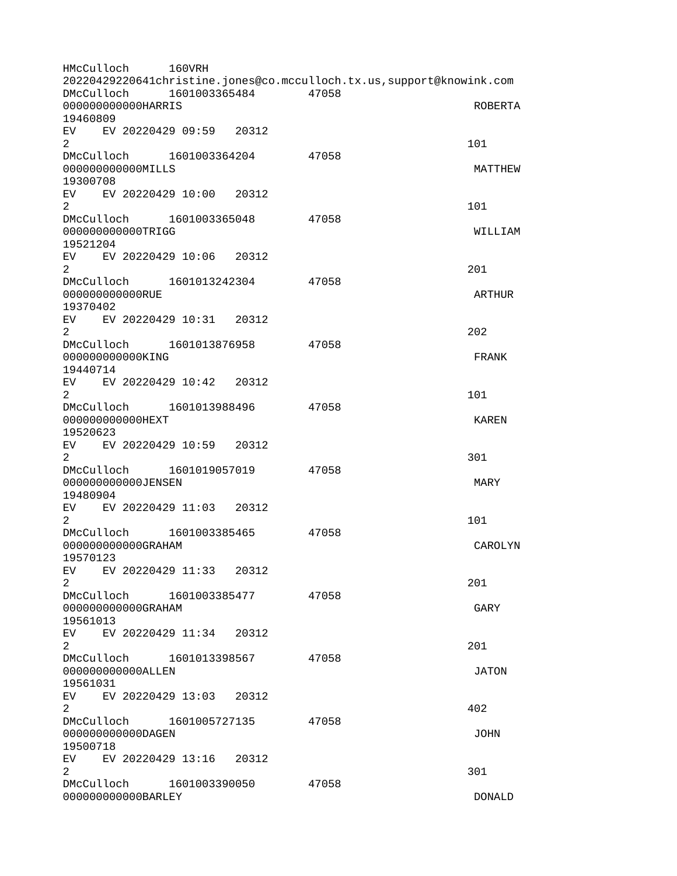HMcCulloch 160VRH 20220429220641christine.jones@co.mcculloch.tx.us,support@knowink.com DMcCulloch 1601003365484 47058 00000000000000HARRIS ROBERTA 19460809 EV EV 20220429 09:59 20312  $2 \t 101$ DMcCulloch 1601003364204 47058 000000000000MILLS MATTHEW 19300708 EV EV 20220429 10:00 20312  $2 \t 101$ DMcCulloch 1601003365048 47058 000000000000TRIGG WILLIAM 19521204 EV EV 20220429 10:06 20312 2 and  $\overline{201}$ DMcCulloch 1601013242304 47058 000000000000RUE ARTHUR 19370402 EV EV 20220429 10:31 20312  $2^{\circ}$ DMcCulloch 1601013876958 47058 000000000000KING FRANK 19440714 EV EV 20220429 10:42 20312  $2 \t 101$ DMcCulloch 1601013988496 47058 000000000000HEXT KAREN 19520623 EV EV 20220429 10:59 20312  $2\,$ DMcCulloch 1601019057019 47058 000000000000JENSEN MARY 19480904 EV EV 20220429 11:03 20312  $2 \t 101$ DMcCulloch 1601003385465 47058 000000000000GRAHAM CAROLYN 19570123 EV EV 20220429 11:33 20312  $2<sup>2</sup>$ DMcCulloch 1601003385477 47058 0000000000000GRAHAM GARY 19561013 EV EV 20220429 11:34 20312 2 and  $\overline{201}$ DMcCulloch 1601013398567 47058 000000000000ALLEN JATON 19561031 EV EV 20220429 13:03 20312  $2^{402}$ DMcCulloch 1601005727135 47058 000000000000DAGEN JOHN 19500718 EV EV 20220429 13:16 20312  $2\,$ DMcCulloch 1601003390050 47058 000000000000BARLEY DONALD